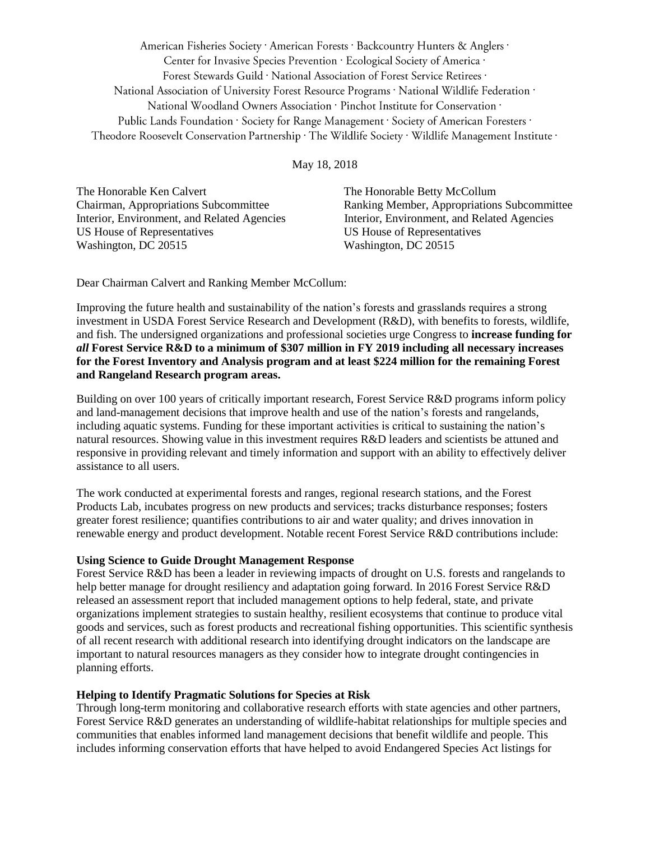American Fisheries Society · American Forests · Backcountry Hunters & Anglers · Center for Invasive Species Prevention · Ecological Society of America · Forest Stewards Guild · National Association of Forest Service Retirees · National Association of University Forest Resource Programs · National Wildlife Federation · National Woodland Owners Association · Pinchot Institute for Conservation · Public Lands Foundation · Society for Range Management · Society of American Foresters · Theodore Roosevelt Conservation Partnership · The Wildlife Society · Wildlife Management Institute ·

## May 18, 2018

The Honorable Ken Calvert The Honorable Betty McCollum US House of Representatives US House of Representatives Washington, DC 20515 Washington, DC 20515

Chairman, Appropriations Subcommittee Ranking Member, Appropriations Subcommittee Interior, Environment, and Related Agencies Interior, Environment, and Related Agencies

Dear Chairman Calvert and Ranking Member McCollum:

Improving the future health and sustainability of the nation's forests and grasslands requires a strong investment in USDA Forest Service Research and Development (R&D), with benefits to forests, wildlife, and fish. The undersigned organizations and professional societies urge Congress to **increase funding for**  *all* **Forest Service R&D to a minimum of \$307 million in FY 2019 including all necessary increases for the Forest Inventory and Analysis program and at least \$224 million for the remaining Forest and Rangeland Research program areas.**

Building on over 100 years of critically important research, Forest Service R&D programs inform policy and land-management decisions that improve health and use of the nation's forests and rangelands, including aquatic systems. Funding for these important activities is critical to sustaining the nation's natural resources. Showing value in this investment requires R&D leaders and scientists be attuned and responsive in providing relevant and timely information and support with an ability to effectively deliver assistance to all users.

The work conducted at experimental forests and ranges, regional research stations, and the Forest Products Lab, incubates progress on new products and services; tracks disturbance responses; fosters greater forest resilience; quantifies contributions to air and water quality; and drives innovation in renewable energy and product development. Notable recent Forest Service R&D contributions include:

# **Using Science to Guide Drought Management Response**

Forest Service R&D has been a leader in reviewing impacts of drought on U.S. forests and rangelands to help better manage for drought resiliency and adaptation going forward. In 2016 Forest Service R&D released an assessment report that included management options to help federal, state, and private organizations implement strategies to sustain healthy, resilient ecosystems that continue to produce vital goods and services, such as forest products and recreational fishing opportunities. This scientific synthesis of all recent research with additional research into identifying drought indicators on the landscape are important to natural resources managers as they consider how to integrate drought contingencies in planning efforts.

# **Helping to Identify Pragmatic Solutions for Species at Risk**

Through long-term monitoring and collaborative research efforts with state agencies and other partners, Forest Service R&D generates an understanding of wildlife-habitat relationships for multiple species and communities that enables informed land management decisions that benefit wildlife and people. This includes informing conservation efforts that have helped to avoid Endangered Species Act listings for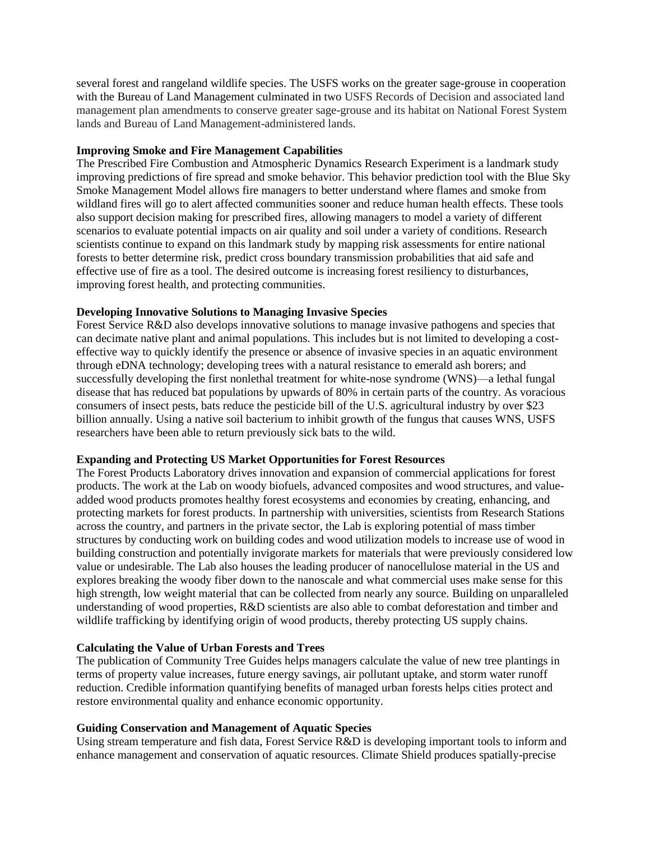several forest and rangeland wildlife species. The USFS works on the greater sage-grouse in cooperation with the Bureau of Land Management culminated in two USFS Records of Decision and associated land management plan amendments to conserve greater sage-grouse and its habitat on National Forest System lands and Bureau of Land Management-administered lands.

#### **Improving Smoke and Fire Management Capabilities**

The Prescribed Fire Combustion and Atmospheric Dynamics Research Experiment is a landmark study improving predictions of fire spread and smoke behavior. This behavior prediction tool with the Blue Sky Smoke Management Model allows fire managers to better understand where flames and smoke from wildland fires will go to alert affected communities sooner and reduce human health effects. These tools also support decision making for prescribed fires, allowing managers to model a variety of different scenarios to evaluate potential impacts on air quality and soil under a variety of conditions. Research scientists continue to expand on this landmark study by mapping risk assessments for entire national forests to better determine risk, predict cross boundary transmission probabilities that aid safe and effective use of fire as a tool. The desired outcome is increasing forest resiliency to disturbances, improving forest health, and protecting communities.

## **Developing Innovative Solutions to Managing Invasive Species**

Forest Service R&D also develops innovative solutions to manage invasive pathogens and species that can decimate native plant and animal populations. This includes but is not limited to developing a costeffective way to quickly identify the presence or absence of invasive species in an aquatic environment through eDNA technology; developing trees with a natural resistance to emerald ash borers; and successfully developing the first nonlethal treatment for white-nose syndrome (WNS)—a lethal fungal disease that has reduced bat populations by upwards of 80% in certain parts of the country. As voracious consumers of insect pests, bats reduce the pesticide bill of the U.S. agricultural industry by over \$23 billion annually. Using a native soil bacterium to inhibit growth of the fungus that causes WNS, USFS researchers have been able to return previously sick bats to the wild.

#### **Expanding and Protecting US Market Opportunities for Forest Resources**

The Forest Products Laboratory drives innovation and expansion of commercial applications for forest products. The work at the Lab on woody biofuels, advanced composites and wood structures, and valueadded wood products promotes healthy forest ecosystems and economies by creating, enhancing, and protecting markets for forest products. In partnership with universities, scientists from Research Stations across the country, and partners in the private sector, the Lab is exploring potential of mass timber structures by conducting work on building codes and wood utilization models to increase use of wood in building construction and potentially invigorate markets for materials that were previously considered low value or undesirable. The Lab also houses the leading producer of nanocellulose material in the US and explores breaking the woody fiber down to the nanoscale and what commercial uses make sense for this high strength, low weight material that can be collected from nearly any source. Building on unparalleled understanding of wood properties, R&D scientists are also able to combat deforestation and timber and wildlife trafficking by identifying origin of wood products, thereby protecting US supply chains.

## **Calculating the Value of Urban Forests and Trees**

The publication of Community Tree Guides helps managers calculate the value of new tree plantings in terms of property value increases, future energy savings, air pollutant uptake, and storm water runoff reduction. Credible information quantifying benefits of managed urban forests helps cities protect and restore environmental quality and enhance economic opportunity.

## **Guiding Conservation and Management of Aquatic Species**

Using stream temperature and fish data, Forest Service R&D is developing important tools to inform and enhance management and conservation of aquatic resources. Climate Shield produces spatially-precise